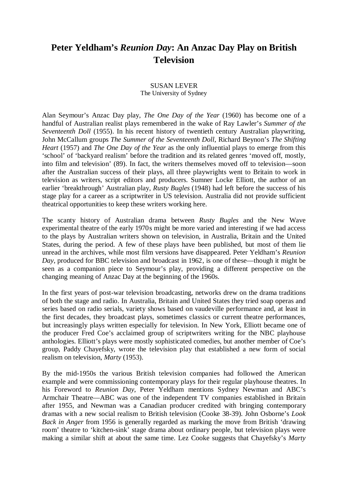## **Peter Yeldham's** *Reunion Day***: An Anzac Day Play on British Television**

## SUSAN LEVER The University of Sydney

Alan Seymour's Anzac Day play, *The One Day of the Year* (1960) has become one of a handful of Australian realist plays remembered in the wake of Ray Lawler's *Summer of the Seventeenth Doll* (1955). In his recent history of twentieth century Australian playwriting, John McCallum groups *The Summer of the Seventeenth Doll*, Richard Beynon's *The Shifting Heart* (1957) and *The One Day of the Year* as the only influential plays to emerge from this 'school' of 'backyard realism' before the tradition and its related genres 'moved off, mostly, into film and television' (89). In fact, the writers themselves moved off to television—soon after the Australian success of their plays, all three playwrights went to Britain to work in television as writers, script editors and producers. Sumner Locke Elliott, the author of an earlier 'breakthrough' Australian play, *Rusty Bugles* (1948) had left before the success of his stage play for a career as a scriptwriter in US television. Australia did not provide sufficient theatrical opportunities to keep these writers working here.

The scanty history of Australian drama between *Rusty Bugles* and the New Wave experimental theatre of the early 1970s might be more varied and interesting if we had access to the plays by Australian writers shown on television, in Australia, Britain and the United States, during the period. A few of these plays have been published, but most of them lie unread in the archives, while most film versions have disappeared. Peter Yeldham's *Reunion Day*, produced for BBC television and broadcast in 1962, is one of these—though it might be seen as a companion piece to Seymour's play, providing a different perspective on the changing meaning of Anzac Day at the beginning of the 1960s.

In the first years of post-war television broadcasting, networks drew on the drama traditions of both the stage and radio. In Australia, Britain and United States they tried soap operas and series based on radio serials, variety shows based on vaudeville performance and, at least in the first decades, they broadcast plays, sometimes classics or current theatre performances, but increasingly plays written especially for television. In New York, Elliott became one of the producer Fred Coe's acclaimed group of scriptwriters writing for the NBC playhouse anthologies. Elliott's plays were mostly sophisticated comedies, but another member of Coe's group, Paddy Chayefsky, wrote the television play that established a new form of social realism on television, *Marty* (1953).

By the mid-1950s the various British television companies had followed the American example and were commissioning contemporary plays for their regular playhouse theatres. In his Foreword to *Reunion Day*, Peter Yeldham mentions Sydney Newman and ABC's Armchair Theatre—ABC was one of the independent TV companies established in Britain after 1955, and Newman was a Canadian producer credited with bringing contemporary dramas with a new social realism to British television (Cooke 38-39). John Osborne's *Look Back in Anger* from 1956 is generally regarded as marking the move from British 'drawing room' theatre to 'kitchen-sink' stage drama about ordinary people, but television plays were making a similar shift at about the same time. Lez Cooke suggests that Chayefsky's *Marty*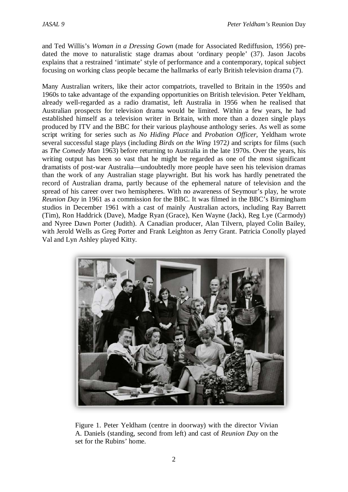and Ted Willis's *Woman in a Dressing Gown* (made for Associated Rediffusion, 1956) predated the move to naturalistic stage dramas about 'ordinary people' (37). Jason Jacobs explains that a restrained 'intimate' style of performance and a contemporary, topical subject focusing on working class people became the hallmarks of early British television drama (7).

Many Australian writers, like their actor compatriots, travelled to Britain in the 1950s and 1960s to take advantage of the expanding opportunities on British television. Peter Yeldham, already well-regarded as a radio dramatist, left Australia in 1956 when he realised that Australian prospects for television drama would be limited. Within a few years, he had established himself as a television writer in Britain, with more than a dozen single plays produced by ITV and the BBC for their various playhouse anthology series. As well as some script writing for series such as *No Hiding Place* and *Probation Officer*, Yeldham wrote several successful stage plays (including *Birds on the Wing* 1972*)* and scripts for films (such as *The Comedy Man* 1963) before returning to Australia in the late 1970s. Over the years, his writing output has been so vast that he might be regarded as one of the most significant dramatists of post-war Australia—undoubtedly more people have seen his television dramas than the work of any Australian stage playwright. But his work has hardly penetrated the record of Australian drama, partly because of the ephemeral nature of television and the spread of his career over two hemispheres. With no awareness of Seymour's play, he wrote *Reunion Day* in 1961 as a commission for the BBC. It was filmed in the BBC's Birmingham studios in December 1961 with a cast of mainly Australian actors, including Ray Barrett (Tim), Ron Haddrick (Dave), Madge Ryan (Grace), Ken Wayne (Jack), Reg Lye (Carmody) and Nyree Dawn Porter (Judith). A Canadian producer, Alan Tilvern, played Colin Bailey, with Jerold Wells as Greg Porter and Frank Leighton as Jerry Grant. Patricia Conolly played Val and Lyn Ashley played Kitty.



Figure 1. Peter Yeldham (centre in doorway) with the director Vivian A. Daniels (standing, second from left) and cast of *Reunion Day* on the set for the Rubins' home.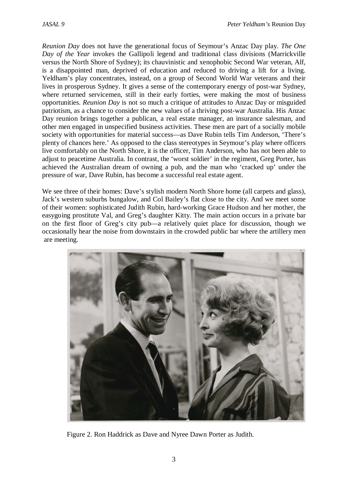*Reunion Day* does not have the generational focus of Seymour's Anzac Day play. *The One Day of the Year* invokes the Gallipoli legend and traditional class divisions (Marrickville versus the North Shore of Sydney); its chauvinistic and xenophobic Second War veteran, Alf, is a disappointed man, deprived of education and reduced to driving a lift for a living. Yeldham's play concentrates, instead, on a group of Second World War veterans and their lives in prosperous Sydney. It gives a sense of the contemporary energy of post-war Sydney, where returned servicemen, still in their early forties, were making the most of business opportunities. *Reunion Day* is not so much a critique of attitudes to Anzac Day or misguided patriotism, as a chance to consider the new values of a thriving post-war Australia. His Anzac Day reunion brings together a publican, a real estate manager, an insurance salesman, and other men engaged in unspecified business activities. These men are part of a socially mobile society with opportunities for material success—as Dave Rubin tells Tim Anderson, 'There's plenty of chances here.' As opposed to the class stereotypes in Seymour's play where officers live comfortably on the North Shore, it is the officer, Tim Anderson, who has not been able to adjust to peacetime Australia. In contrast, the 'worst soldier' in the regiment, Greg Porter, has achieved the Australian dream of owning a pub, and the man who 'cracked up' under the pressure of war, Dave Rubin, has become a successful real estate agent.

We see three of their homes: Dave's stylish modern North Shore home (all carpets and glass), Jack's western suburbs bungalow, and Col Bailey's flat close to the city. And we meet some of their women: sophisticated Judith Rubin, hard-working Grace Hudson and her mother, the easygoing prostitute Val, and Greg's daughter Kitty. The main action occurs in a private bar on the first floor of Greg's city pub—a relatively quiet place for discussion, though we occasionally hear the noise from downstairs in the crowded public bar where the artillery men are meeting.



Figure 2. Ron Haddrick as Dave and Nyree Dawn Porter as Judith.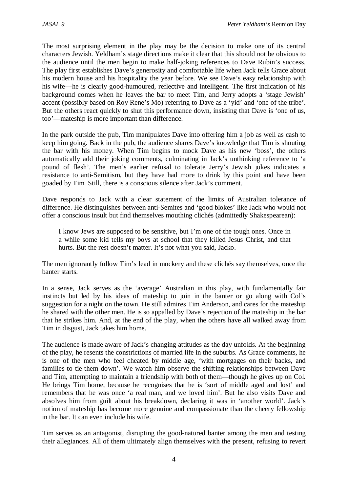The most surprising element in the play may be the decision to make one of its central characters Jewish. Yeldham's stage directions make it clear that this should not be obvious to the audience until the men begin to make half-joking references to Dave Rubin's success. The play first establishes Dave's generosity and comfortable life when Jack tells Grace about his modern house and his hospitality the year before. We see Dave's easy relationship with his wife—he is clearly good-humoured, reflective and intelligent. The first indication of his background comes when he leaves the bar to meet Tim, and Jerry adopts a 'stage Jewish' accent (possibly based on Roy Rene's Mo) referring to Dave as a 'yid' and 'one of the tribe'. But the others react quickly to shut this performance down, insisting that Dave is 'one of us, too'—mateship is more important than difference.

In the park outside the pub, Tim manipulates Dave into offering him a job as well as cash to keep him going. Back in the pub, the audience shares Dave's knowledge that Tim is shouting the bar with his money. When Tim begins to mock Dave as his new 'boss', the others automatically add their joking comments, culminating in Jack's unthinking reference to 'a pound of flesh'. The men's earlier refusal to tolerate Jerry's Jewish jokes indicates a resistance to anti-Semitism, but they have had more to drink by this point and have been goaded by Tim. Still, there is a conscious silence after Jack's comment.

Dave responds to Jack with a clear statement of the limits of Australian tolerance of difference. He distinguishes between anti-Semites and 'good blokes' like Jack who would not offer a conscious insult but find themselves mouthing clichés (admittedly Shakespearean):

I know Jews are supposed to be sensitive, but I'm one of the tough ones. Once in a while some kid tells my boys at school that they killed Jesus Christ, and that hurts. But the rest doesn't matter. It's not what you said, Jacko.

The men ignorantly follow Tim's lead in mockery and these clichés say themselves, once the banter starts.

In a sense, Jack serves as the 'average' Australian in this play, with fundamentally fair instincts but led by his ideas of mateship to join in the banter or go along with Col's suggestion for a night on the town. He still admires Tim Anderson, and cares for the mateship he shared with the other men. He is so appalled by Dave's rejection of the mateship in the bar that he strikes him. And, at the end of the play, when the others have all walked away from Tim in disgust, Jack takes him home.

The audience is made aware of Jack's changing attitudes as the day unfolds. At the beginning of the play, he resents the constrictions of married life in the suburbs. As Grace comments, he is one of the men who feel cheated by middle age, 'with mortgages on their backs, and families to tie them down'. We watch him observe the shifting relationships between Dave and Tim, attempting to maintain a friendship with both of them—though he gives up on Col. He brings Tim home, because he recognises that he is 'sort of middle aged and lost' and remembers that he was once 'a real man, and we loved him'. But he also visits Dave and absolves him from guilt about his breakdown, declaring it was in 'another world'. Jack's notion of mateship has become more genuine and compassionate than the cheery fellowship in the bar. It can even include his wife.

Tim serves as an antagonist, disrupting the good-natured banter among the men and testing their allegiances. All of them ultimately align themselves with the present, refusing to revert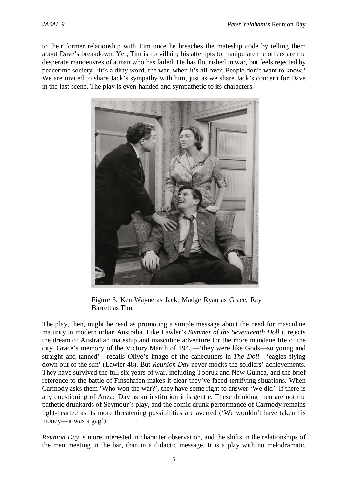to their former relationship with Tim once he breaches the mateship code by telling them about Dave's breakdown. Yet, Tim is no villain; his attempts to manipulate the others are the desperate manoeuvres of a man who has failed. He has flourished in war, but feels rejected by peacetime society: 'It's a dirty word, the war, when it's all over. People don't want to know.' We are invited to share Jack's sympathy with him, just as we share Jack's concern for Dave in the last scene. The play is even-handed and sympathetic to its characters.



Figure 3. Ken Wayne as Jack, Madge Ryan as Grace, Ray Barrett as Tim.

The play, then, might be read as promoting a simple message about the need for masculine maturity in modern urban Australia. Like Lawler's *Summer of the Seventeenth Doll* it rejects the dream of Australian mateship and masculine adventure for the more mundane life of the city. Grace's memory of the Victory March of 1945—'they were like Gods—so young and straight and tanned'—recalls Olive's image of the canecutters in *The Doll*—'eagles flying down out of the sun' (Lawler 48). But *Reunion Day* never mocks the soldiers' achievements. They have survived the full six years of war, including Tobruk and New Guinea, and the brief reference to the battle of Finschafen makes it clear they've faced terrifying situations. When Carmody asks them 'Who won the war?', they have some right to answer 'We did'. If there is any questioning of Anzac Day as an institution it is gentle. These drinking men are not the pathetic drunkards of Seymour's play, and the comic drunk performance of Carmody remains light-hearted as its more threatening possibilities are averted ('We wouldn't have taken his money—it was a gag').

*Reunion Day* is more interested in character observation, and the shifts in the relationships of the men meeting in the bar, than in a didactic message. It is a play with no melodramatic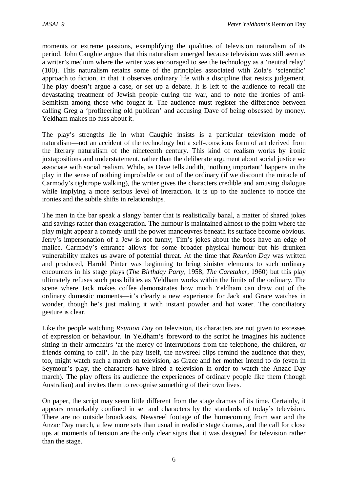moments or extreme passions, exemplifying the qualities of television naturalism of its period. John Caughie argues that this naturalism emerged because television was still seen as a writer's medium where the writer was encouraged to see the technology as a 'neutral relay' (100). This naturalism retains some of the principles associated with Zola's 'scientific' approach to fiction, in that it observes ordinary life with a discipline that resists judgement. The play doesn't argue a case, or set up a debate. It is left to the audience to recall the devastating treatment of Jewish people during the war, and to note the ironies of anti-Semitism among those who fought it. The audience must register the difference between calling Greg a 'profiteering old publican' and accusing Dave of being obsessed by money. Yeldham makes no fuss about it.

The play's strengths lie in what Caughie insists is a particular television mode of naturalism—not an accident of the technology but a self-conscious form of art derived from the literary naturalism of the nineteenth century. This kind of realism works by ironic juxtapositions and understatement, rather than the deliberate argument about social justice we associate with social realism. While, as Dave tells Judith, 'nothing important' happens in the play in the sense of nothing improbable or out of the ordinary (if we discount the miracle of Carmody's tightrope walking), the writer gives the characters credible and amusing dialogue while implying a more serious level of interaction. It is up to the audience to notice the ironies and the subtle shifts in relationships.

The men in the bar speak a slangy banter that is realistically banal, a matter of shared jokes and sayings rather than exaggeration. The humour is maintained almost to the point where the play might appear a comedy until the power manoeuvres beneath its surface become obvious. Jerry's impersonation of a Jew is not funny; Tim's jokes about the boss have an edge of malice. Carmody's entrance allows for some broader physical humour but his drunken vulnerability makes us aware of potential threat. At the time that *Reunion Day* was written and produced, Harold Pinter was beginning to bring sinister elements to such ordinary encounters in his stage plays (*The Birthday Party,* 1958; *The Caretaker,* 1960) but this play ultimately refuses such possibilities as Yeldham works within the limits of the ordinary. The scene where Jack makes coffee demonstrates how much Yeldham can draw out of the ordinary domestic moments—it's clearly a new experience for Jack and Grace watches in wonder, though he's just making it with instant powder and hot water. The conciliatory gesture is clear.

Like the people watching *Reunion Day* on television, its characters are not given to excesses of expression or behaviour. In Yeldham's foreword to the script he imagines his audience sitting in their armchairs 'at the mercy of interruptions from the telephone, the children, or friends coming to call'. In the play itself, the newsreel clips remind the audience that they, too, might watch such a march on television, as Grace and her mother intend to do (even in Seymour's play, the characters have hired a television in order to watch the Anzac Day march). The play offers its audience the experiences of ordinary people like them (though Australian) and invites them to recognise something of their own lives.

On paper, the script may seem little different from the stage dramas of its time. Certainly, it appears remarkably confined in set and characters by the standards of today's television. There are no outside broadcasts. Newsreel footage of the homecoming from war and the Anzac Day march, a few more sets than usual in realistic stage dramas, and the call for close ups at moments of tension are the only clear signs that it was designed for television rather than the stage.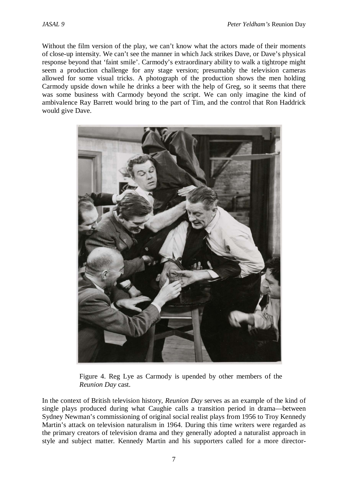Without the film version of the play, we can't know what the actors made of their moments of close-up intensity. We can't see the manner in which Jack strikes Dave, or Dave's physical response beyond that 'faint smile'. Carmody's extraordinary ability to walk a tightrope might seem a production challenge for any stage version; presumably the television cameras allowed for some visual tricks. A photograph of the production shows the men holding Carmody upside down while he drinks a beer with the help of Greg, so it seems that there was some business with Carmody beyond the script. We can only imagine the kind of ambivalence Ray Barrett would bring to the part of Tim, and the control that Ron Haddrick would give Dave.



Figure 4. Reg Lye as Carmody is upended by other members of the *Reunion Day* cast.

In the context of British television history, *Reunion Day* serves as an example of the kind of single plays produced during what Caughie calls a transition period in drama—between Sydney Newman's commissioning of original social realist plays from 1956 to Troy Kennedy Martin's attack on television naturalism in 1964. During this time writers were regarded as the primary creators of television drama and they generally adopted a naturalist approach in style and subject matter. Kennedy Martin and his supporters called for a more director-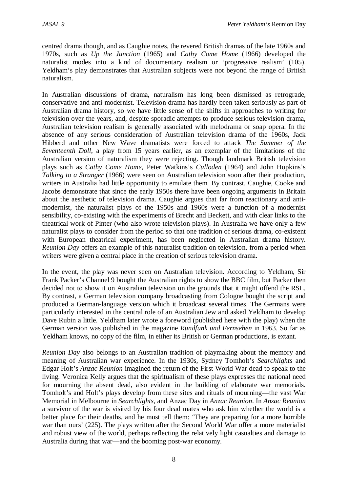centred drama though, and as Caughie notes, the revered British dramas of the late 1960s and 1970s, such as *Up the Junction* (1965) and *Cathy Come Home* (1966) developed the naturalist modes into a kind of documentary realism or 'progressive realism' (105). Yeldham's play demonstrates that Australian subjects were not beyond the range of British naturalism.

In Australian discussions of drama, naturalism has long been dismissed as retrograde, conservative and anti-modernist. Television drama has hardly been taken seriously as part of Australian drama history, so we have little sense of the shifts in approaches to writing for television over the years, and, despite sporadic attempts to produce serious television drama, Australian television realism is generally associated with melodrama or soap opera. In the absence of any serious consideration of Australian television drama of the 1960s, Jack Hibberd and other New Wave dramatists were forced to attack *The Summer of the Seventeenth Doll*, a play from 15 years earlier, as an exemplar of the limitations of the Australian version of naturalism they were rejecting. Though landmark British television plays such as *Cathy Come Home*, Peter Watkins's *Culloden* (1964) and John Hopkins's *Talking to a Stranger* (1966) were seen on Australian television soon after their production, writers in Australia had little opportunity to emulate them. By contrast, Caughie, Cooke and Jacobs demonstrate that since the early 1950s there have been ongoing arguments in Britain about the aesthetic of television drama. Caughie argues that far from reactionary and antimodernist, the naturalist plays of the 1950s and 1960s were a function of a modernist sensibility, co-existing with the experiments of Brecht and Beckett, and with clear links to the theatrical work of Pinter (who also wrote television plays). In Australia we have only a few naturalist plays to consider from the period so that one tradition of serious drama, co-existent with European theatrical experiment, has been neglected in Australian drama history. *Reunion Day* offers an example of this naturalist tradition on television, from a period when writers were given a central place in the creation of serious television drama.

In the event, the play was never seen on Australian television. According to Yeldham, Sir Frank Packer's Channel 9 bought the Australian rights to show the BBC film, but Packer then decided not to show it on Australian television on the grounds that it might offend the RSL. By contrast, a German television company broadcasting from Cologne bought the script and produced a German-language version which it broadcast several times. The Germans were particularly interested in the central role of an Australian Jew and asked Yeldham to develop Dave Rubin a little. Yeldham later wrote a foreword (published here with the play) when the German version was published in the magazine *Rundfunk und Fernsehen* in 1963. So far as Yeldham knows, no copy of the film, in either its British or German productions, is extant.

*Reunion Day* also belongs to an Australian tradition of playmaking about the memory and meaning of Australian war experience. In the 1930s, Sydney Tomholt's *Searchlights* and Edgar Holt's *Anzac Reunion* imagined the return of the First World War dead to speak to the living. Veronica Kelly argues that the spiritualism of these plays expresses the national need for mourning the absent dead, also evident in the building of elaborate war memorials. Tomholt's and Holt's plays develop from these sites and rituals of mourning—the vast War Memorial in Melbourne in *Searchlights*, and Anzac Day in *Anzac Reunion*. In *Anzac Reunion* a survivor of the war is visited by his four dead mates who ask him whether the world is a better place for their deaths, and he must tell them: 'They are preparing for a more horrible war than ours' (225). The plays written after the Second World War offer a more materialist and robust view of the world, perhaps reflecting the relatively light casualties and damage to Australia during that war—and the booming post-war economy.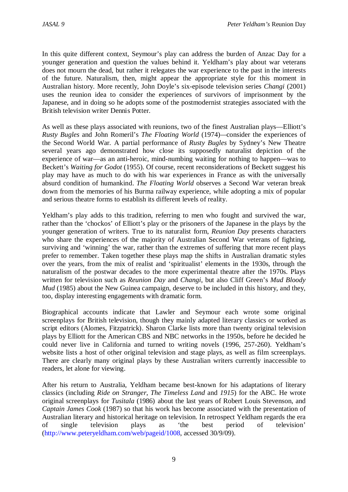In this quite different context, Seymour's play can address the burden of Anzac Day for a younger generation and question the values behind it. Yeldham's play about war veterans does not mourn the dead, but rather it relegates the war experience to the past in the interests of the future. Naturalism, then, might appear the appropriate style for this moment in Australian history. More recently, John Doyle's six-episode television series *Changi* (2001) uses the reunion idea to consider the experiences of survivors of imprisonment by the Japanese, and in doing so he adopts some of the postmodernist strategies associated with the British television writer Dennis Potter.

As well as these plays associated with reunions, two of the finest Australian plays—Elliott's *Rusty Bugles* and John Romeril's *The Floating World* (1974)*—*consider the experiences of the Second World War*.* A partial performance of *Rusty Bugles* by Sydney's New Theatre several years ago demonstrated how close its supposedly naturalist depiction of the experience of war—as an anti-heroic, mind-numbing waiting for nothing to happen—was to Beckett's *Waiting for Godot* (1955). Of course, recent reconsiderations of Beckett suggest his play may have as much to do with his war experiences in France as with the universally absurd condition of humankind. *The Floating World* observes a Second War veteran break down from the memories of his Burma railway experience, while adopting a mix of popular and serious theatre forms to establish its different levels of reality.

Yeldham's play adds to this tradition, referring to men who fought and survived the war, rather than the 'chockos' of Elliott's play or the prisoners of the Japanese in the plays by the younger generation of writers. True to its naturalist form, *Reunion Day* presents characters who share the experiences of the majority of Australian Second War veterans of fighting, surviving and 'winning' the war, rather than the extremes of suffering that more recent plays prefer to remember. Taken together these plays map the shifts in Australian dramatic styles over the years, from the mix of realist and 'spiritualist' elements in the 1930s, through the naturalism of the postwar decades to the more experimental theatre after the 1970s. Plays written for television such as *Reunion Day* and *Changi*, but also Cliff Green's *Mud Bloody Mud* (1985) about the New Guinea campaign, deserve to be included in this history, and they, too, display interesting engagements with dramatic form.

Biographical accounts indicate that Lawler and Seymour each wrote some original screenplays for British television, though they mainly adapted literary classics or worked as script editors (Alomes, Fitzpatrick). Sharon Clarke lists more than twenty original television plays by Elliott for the American CBS and NBC networks in the 1950s, before he decided he could never live in California and turned to writing novels (1996, 257-260). Yeldham's website lists a host of other original television and stage plays, as well as film screenplays. There are clearly many original plays by these Australian writers currently inaccessible to readers, let alone for viewing.

After his return to Australia, Yeldham became best-known for his adaptations of literary classics (including *Ride on Stranger*, *The Timeless Land* and *1915*) for the ABC. He wrote original screenplays for *Tusitala* (1986) about the last years of Robert Louis Stevenson, and *Captain James Cook* (1987) so that his work has become associated with the presentation of Australian literary and historical heritage on television. In retrospect Yeldham regards the era of single television plays as 'the best period of television' [\(http://www.peteryeldham.com/web/pageid/1008,](http://www.peteryeldham.com/web/pageid/1008) accessed 30/9/09).